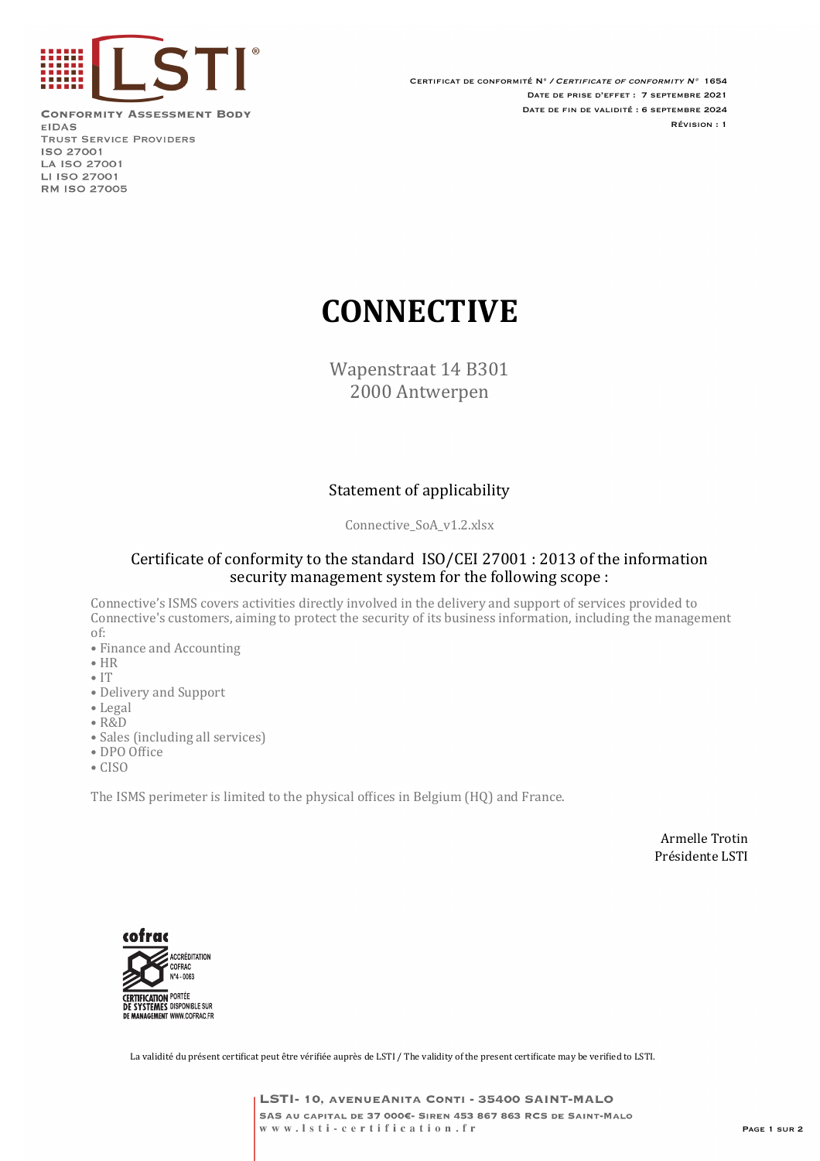

**CONFORMITY ASSESSMENT BODY EIDAS TRUST SERVICE PROVIDERS ISO 27001** LA ISO 27001 LI ISO 27001 **RM ISO 27005** 

Certificat de conformité N° / Certificate of conformity N° 1654 Date de prise d'effet : 7 septembre 2021 Date de fin de validité : 6 septembre 2024 Révision : 1

# **CONNECTIVE**

Wapenstraat 14 B301 2000 Antwerpen

### Statement of applicability

Connective SoA v1.2.xlsx

#### Certificate of conformity to the standard ISO/CEI 27001 : 2013 of the information security management system for the following scope :

Connective's ISMS covers activities directly involved in the delivery and support of services provided to Connective's customers, aiming to protect the security of its business information, including the management of:

- Finance and Accounting
- HR
- IT
- Delivery and Support
- Legal
- R&D
- Sales (including all services)
- $\bullet$  DPO Office
- CISO

The ISMS perimeter is limited to the physical offices in Belgium (HQ) and France.

Armelle Trotin Présidente LSTI



La validité du présent certificat peut être vérifiée auprès de LSTI / The validity of the present certificate may be verified to LSTI.

LSTI- 10, AVENUEANITA CONTI - 35400 SAINT-MALO SAS AU CAPITAL DE 37 000€- SIREN 453 867 863 RCS DE SAINT-MALO www.lsti-certification.fr